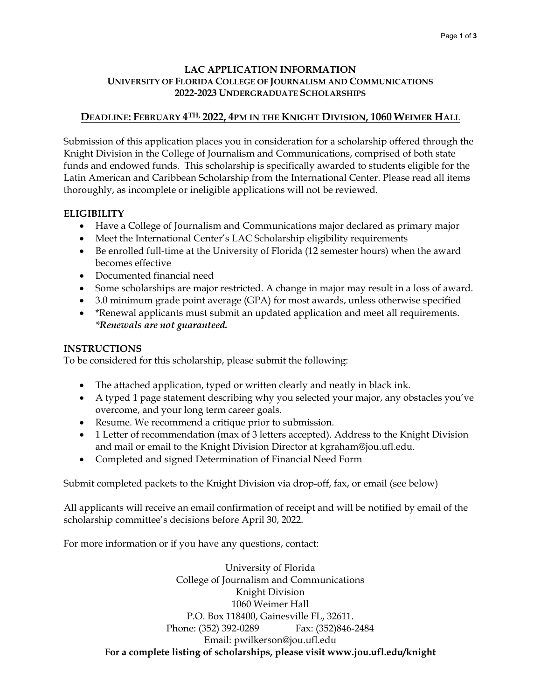### **LAC APPLICATION INFORMATION UNIVERSITY OF FLORIDA COLLEGE OF JOURNALISM AND COMMUNICATIONS 2022-2023 UNDERGRADUATE SCHOLARSHIPS**

# **DEADLINE: FEBRUARY 4TH, 2022, 4PM IN THE KNIGHT DIVISION, 1060 WEIMER HALL**

Submission of this application places you in consideration for a scholarship offered through the Knight Division in the College of Journalism and Communications, comprised of both state funds and endowed funds. This scholarship is specifically awarded to students eligible for the Latin American and Caribbean Scholarship from the International Center. Please read all items thoroughly, as incomplete or ineligible applications will not be reviewed.

# **ELIGIBILITY**

- Have a College of Journalism and Communications major declared as primary major
- Meet the International Center's LAC Scholarship eligibility requirements
- Be enrolled full-time at the University of Florida (12 semester hours) when the award becomes effective
- Documented financial need
- Some scholarships are major restricted. A change in major may result in a loss of award.
- 3.0 minimum grade point average (GPA) for most awards, unless otherwise specified
- \*Renewal applicants must submit an updated application and meet all requirements. *\*Renewals are not guaranteed.*

## **INSTRUCTIONS**

To be considered for this scholarship, please submit the following:

- The attached application, typed or written clearly and neatly in black ink.
- A typed 1 page statement describing why you selected your major, any obstacles you've overcome, and your long term career goals.
- Resume. We recommend a critique prior to submission.
- 1 Letter of recommendation (max of 3 letters accepted). Address to the Knight Division and mail or email to the Knight Division Director at kgraham@jou.ufl.edu.
- Completed and signed Determination of Financial Need Form

Submit completed packets to the Knight Division via drop-off, fax, or email (see below)

All applicants will receive an email confirmation of receipt and will be notified by email of the scholarship committee's decisions before April 30, 2022.

For more information or if you have any questions, contact:

University of Florida College of Journalism and Communications Knight Division 1060 Weimer Hall P.O. Box 118400, Gainesville FL, 32611. Phone: (352) 392-0289 Fax: (352)846-2484 Email: pwilkerson@jou.ufl.edu **For a complete listing of scholarships, please visit www.jou.ufl.edu/knight**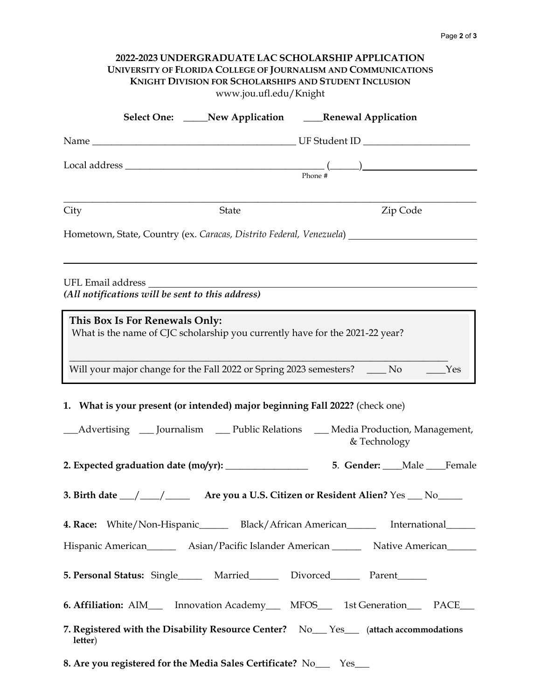| 2022-2023 UNDERGRADUATE LAC SCHOLARSHIP APPLICATION<br>UNIVERSITY OF FLORIDA COLLEGE OF JOURNALISM AND COMMUNICATIONS<br><b>KNIGHT DIVISION FOR SCHOLARSHIPS AND STUDENT INCLUSION</b><br>www.jou.ufl.edu/Knight |                                                                                                |  |  |
|------------------------------------------------------------------------------------------------------------------------------------------------------------------------------------------------------------------|------------------------------------------------------------------------------------------------|--|--|
|                                                                                                                                                                                                                  | Select One: _____New Application ______Renewal Application                                     |  |  |
|                                                                                                                                                                                                                  |                                                                                                |  |  |
|                                                                                                                                                                                                                  |                                                                                                |  |  |
| City<br>State                                                                                                                                                                                                    | Zip Code                                                                                       |  |  |
| Hometown, State, Country (ex. Caracas, Distrito Federal, Venezuela) ____________                                                                                                                                 |                                                                                                |  |  |
| (All notifications will be sent to this address)                                                                                                                                                                 |                                                                                                |  |  |
| This Box Is For Renewals Only:<br>What is the name of CJC scholarship you currently have for the 2021-22 year?                                                                                                   |                                                                                                |  |  |
| Will your major change for the Fall 2022 or Spring 2023 semesters? _____ No ______Yes                                                                                                                            |                                                                                                |  |  |
| 1. What is your present (or intended) major beginning Fall 2022? (check one)                                                                                                                                     |                                                                                                |  |  |
|                                                                                                                                                                                                                  | Advertising __ Journalism __ Public Relations __ Media Production, Management,<br>& Technology |  |  |
|                                                                                                                                                                                                                  |                                                                                                |  |  |
| 3. Birth date __/ ___/ ____ Are you a U.S. Citizen or Resident Alien? Yes __ No____                                                                                                                              |                                                                                                |  |  |
| 4. Race: White/Non-Hispanic_______ Black/African American________ International______                                                                                                                            |                                                                                                |  |  |
|                                                                                                                                                                                                                  | Hispanic American_________ Asian/Pacific Islander American__________ Native American_______    |  |  |
| 5. Personal Status: Single_______ Married_________ Divorced_________ Parent______                                                                                                                                |                                                                                                |  |  |
| 6. Affiliation: AIM___ Innovation Academy___ MFOS___ 1st Generation___ PACE___                                                                                                                                   |                                                                                                |  |  |
| 7. Registered with the Disability Resource Center? No <sub>___</sub> Yes__ (attach accommodations<br>letter)                                                                                                     |                                                                                                |  |  |
| 8. Are you registered for the Media Sales Certificate? No___ Yes___                                                                                                                                              |                                                                                                |  |  |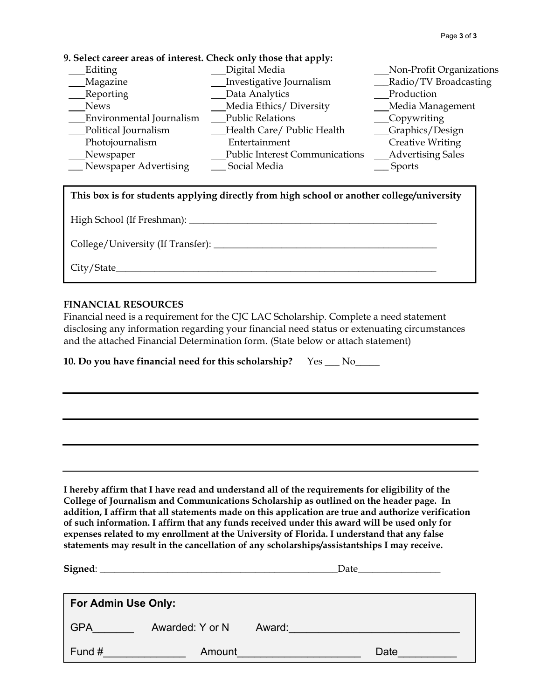### **9. Select career areas of interest. Check only those that apply:**

| Editing                  | Digital Media                         | Non-Profit Organizations |
|--------------------------|---------------------------------------|--------------------------|
| Magazine                 | Investigative Journalism              | _Radio/TV Broadcasting   |
| Reporting                | Data Analytics                        | Production               |
| <b>News</b>              | Media Ethics/Diversity                | Media Management         |
| Environmental Journalism | <b>Public Relations</b>               | __Copywriting            |
| Political Journalism     | Health Care/ Public Health            | <b>Graphics/Design</b>   |
| Photojournalism          | Entertainment                         | Creative Writing         |
| Newspaper                | <b>Public Interest Communications</b> | <b>Advertising Sales</b> |
| _Newspaper Advertising   | Social Media                          | Sports                   |

# **This box is for students applying directly from high school or another college/university**

High School (If Freshman): \_\_\_\_\_\_\_\_\_\_\_\_\_\_\_\_\_\_\_\_\_\_\_\_\_\_\_\_\_\_\_\_\_\_\_\_\_\_\_\_\_\_\_\_\_\_\_\_\_\_\_

College/University (If Transfer):

City/State\_\_\_\_\_\_\_\_\_\_\_\_\_\_\_\_\_\_\_\_\_\_\_\_\_\_\_\_\_\_\_\_\_\_\_\_\_\_\_\_\_\_\_\_\_\_\_\_\_\_\_\_\_\_\_\_\_\_\_\_\_\_\_\_\_\_

### **FINANCIAL RESOURCES**

Financial need is a requirement for the CJC LAC Scholarship. Complete a need statement disclosing any information regarding your financial need status or extenuating circumstances and the attached Financial Determination form. (State below or attach statement)

**10. Do you have financial need for this scholarship?** Yes \_\_\_ No\_\_\_\_\_

**I hereby affirm that I have read and understand all of the requirements for eligibility of the College of Journalism and Communications Scholarship as outlined on the header page. In addition, I affirm that all statements made on this application are true and authorize verification of such information. I affirm that any funds received under this award will be used only for expenses related to my enrollment at the University of Florida. I understand that any false statements may result in the cancellation of any scholarships/assistantships I may receive.** 

| Signed: $\overline{\phantom{a}}$ |                 |        | Date |      |  |
|----------------------------------|-----------------|--------|------|------|--|
| <b>For Admin Use Only:</b>       |                 |        |      |      |  |
| <b>GPA</b>                       | Awarded: Y or N | Award: |      |      |  |
| Fund #                           | Amount          |        |      | Date |  |